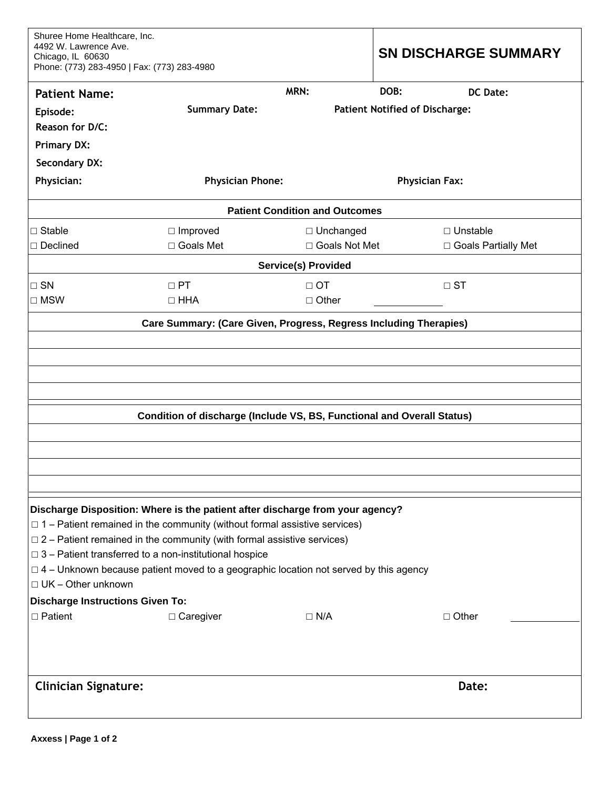| Shuree Home Healthcare, Inc.<br>4492 W. Lawrence Ave.<br>Chicago, IL 60630<br>Phone: (773) 283-4950   Fax: (773) 283-4980                                                                                                                          |                         | <b>SN DISCHARGE SUMMARY</b> |                                       |                       |  |  |
|----------------------------------------------------------------------------------------------------------------------------------------------------------------------------------------------------------------------------------------------------|-------------------------|-----------------------------|---------------------------------------|-----------------------|--|--|
| <b>Patient Name:</b>                                                                                                                                                                                                                               |                         | MRN:                        | DOB:                                  | DC Date:              |  |  |
| Episode:                                                                                                                                                                                                                                           | <b>Summary Date:</b>    |                             | <b>Patient Notified of Discharge:</b> |                       |  |  |
| Reason for D/C:                                                                                                                                                                                                                                    |                         |                             |                                       |                       |  |  |
| <b>Primary DX:</b>                                                                                                                                                                                                                                 |                         |                             |                                       |                       |  |  |
| <b>Secondary DX:</b>                                                                                                                                                                                                                               |                         |                             |                                       |                       |  |  |
| Physician:                                                                                                                                                                                                                                         | <b>Physician Phone:</b> |                             | <b>Physician Fax:</b>                 |                       |  |  |
| <b>Patient Condition and Outcomes</b>                                                                                                                                                                                                              |                         |                             |                                       |                       |  |  |
| $\Box$ Stable                                                                                                                                                                                                                                      | $\Box$ Improved         | □ Unchanged                 |                                       | $\Box$ Unstable       |  |  |
| $\Box$ Declined                                                                                                                                                                                                                                    | □ Goals Met             | □ Goals Not Met             |                                       | □ Goals Partially Met |  |  |
| <b>Service(s) Provided</b>                                                                                                                                                                                                                         |                         |                             |                                       |                       |  |  |
| $\square$ SN                                                                                                                                                                                                                                       | $\Box$ PT               | $\Box$ OT                   | $\Box$ ST                             |                       |  |  |
| $\Box$ MSW                                                                                                                                                                                                                                         | $\Box$ HHA              | $\Box$ Other                |                                       |                       |  |  |
| Care Summary: (Care Given, Progress, Regress Including Therapies)<br>Condition of discharge (Include VS, BS, Functional and Overall Status)                                                                                                        |                         |                             |                                       |                       |  |  |
| Discharge Disposition: Where is the patient after discharge from your agency?<br>$\Box$ 1 – Patient remained in the community (without formal assistive services)<br>$\Box$ 2 – Patient remained in the community (with formal assistive services) |                         |                             |                                       |                       |  |  |
| $\Box$ 3 – Patient transferred to a non-institutional hospice<br>$\Box$ 4 – Unknown because patient moved to a geographic location not served by this agency<br>$\Box$ UK - Other unknown                                                          |                         |                             |                                       |                       |  |  |
| <b>Discharge Instructions Given To:</b><br>$\Box$ Patient                                                                                                                                                                                          | $\Box$ Caregiver        | $\Box$ N/A                  |                                       | $\Box$ Other          |  |  |
| <b>Clinician Signature:</b>                                                                                                                                                                                                                        |                         |                             |                                       | Date:                 |  |  |
|                                                                                                                                                                                                                                                    |                         |                             |                                       |                       |  |  |